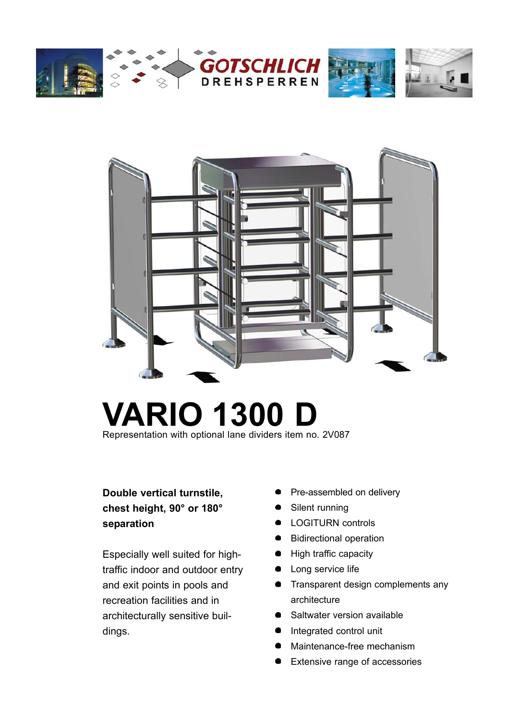



# **VARIO 1300 D**

Representation with optional lane dividers item no. 2V087

# **Double vertical turnstile, chest height, 90° or 180° separation**

Especially well suited for hightraffic indoor and outdoor entry and exit points in pools and recreation facilities and in architecturally sensitive buildings.

- Pre-assembled on delivery
- Silent running
- **•** LOGITURN controls
- **Bidirectional operation**
- High traffic capacity
- Long service life
- **•** Transparent design complements any architecture
- Saltwater version available
- $\bullet$ Integrated control unit
- Maintenance-free mechanism
- Extensive range of accessories